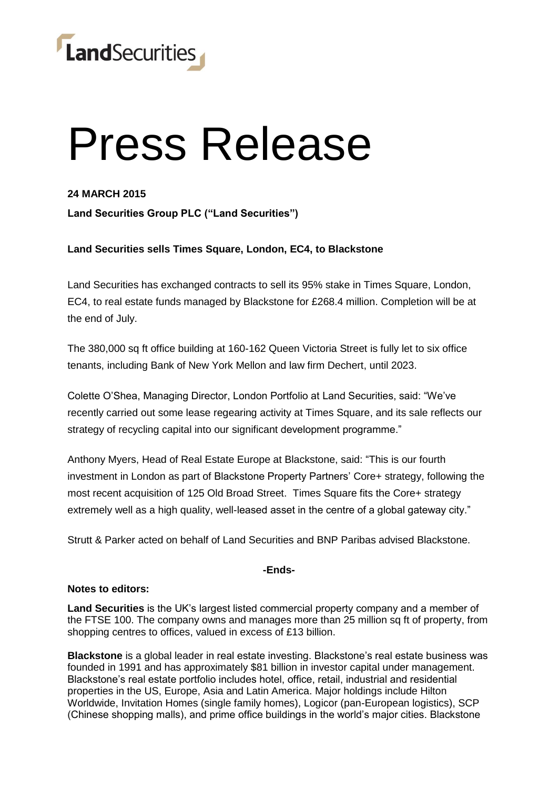

# Press Release

## **24 MARCH 2015**

**Land Securities Group PLC ("Land Securities")**

## **Land Securities sells Times Square, London, EC4, to Blackstone**

Land Securities has exchanged contracts to sell its 95% stake in Times Square, London, EC4, to real estate funds managed by Blackstone for £268.4 million. Completion will be at the end of July.

The 380,000 sq ft office building at 160-162 Queen Victoria Street is fully let to six office tenants, including Bank of New York Mellon and law firm Dechert, until 2023.

Colette O'Shea, Managing Director, London Portfolio at Land Securities, said: "We've recently carried out some lease regearing activity at Times Square, and its sale reflects our strategy of recycling capital into our significant development programme."

Anthony Myers, Head of Real Estate Europe at Blackstone, said: "This is our fourth investment in London as part of Blackstone Property Partners' Core+ strategy, following the most recent acquisition of 125 Old Broad Street. Times Square fits the Core+ strategy extremely well as a high quality, well-leased asset in the centre of a global gateway city."

Strutt & Parker acted on behalf of Land Securities and BNP Paribas advised Blackstone.

#### **-Ends-**

#### **Notes to editors:**

**Land Securities** is the UK's largest listed commercial property company and a member of the FTSE 100. The company owns and manages more than 25 million sq ft of property, from shopping centres to offices, valued in excess of £13 billion.

**Blackstone** is a global leader in real estate investing. Blackstone's real estate business was founded in 1991 and has approximately \$81 billion in investor capital under management. Blackstone's real estate portfolio includes hotel, office, retail, industrial and residential properties in the US, Europe, Asia and Latin America. Major holdings include Hilton Worldwide, Invitation Homes (single family homes), Logicor (pan-European logistics), SCP (Chinese shopping malls), and prime office buildings in the world's major cities. Blackstone